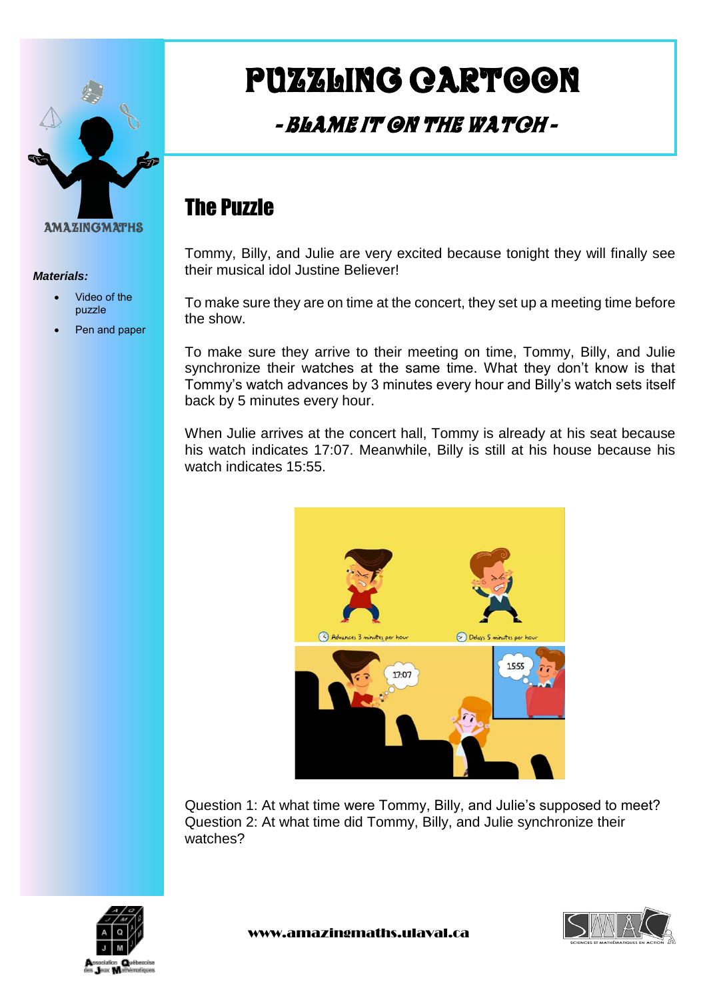

#### *Materials:*

- Video of the puzzle
- Pen and paper

# Puzzling cartoon

### - Blame it on the Watch -

### The Puzzle

Tommy, Billy, and Julie are very excited because tonight they will finally see their musical idol Justine Believer!

To make sure they are on time at the concert, they set up a meeting time before the show.

To make sure they arrive to their meeting on time, Tommy, Billy, and Julie synchronize their watches at the same time. What they don't know is that Tommy's watch advances by 3 minutes every hour and Billy's watch sets itself back by 5 minutes every hour.

When Julie arrives at the concert hall, Tommy is already at his seat because his watch indicates 17:07. Meanwhile, Billy is still at his house because his watch indicates 15:55.



Question 1: At what time were Tommy, Billy, and Julie's supposed to meet? Question 2: At what time did Tommy, Billy, and Julie synchronize their watches?



www.amazingmaths.ulaval.ca